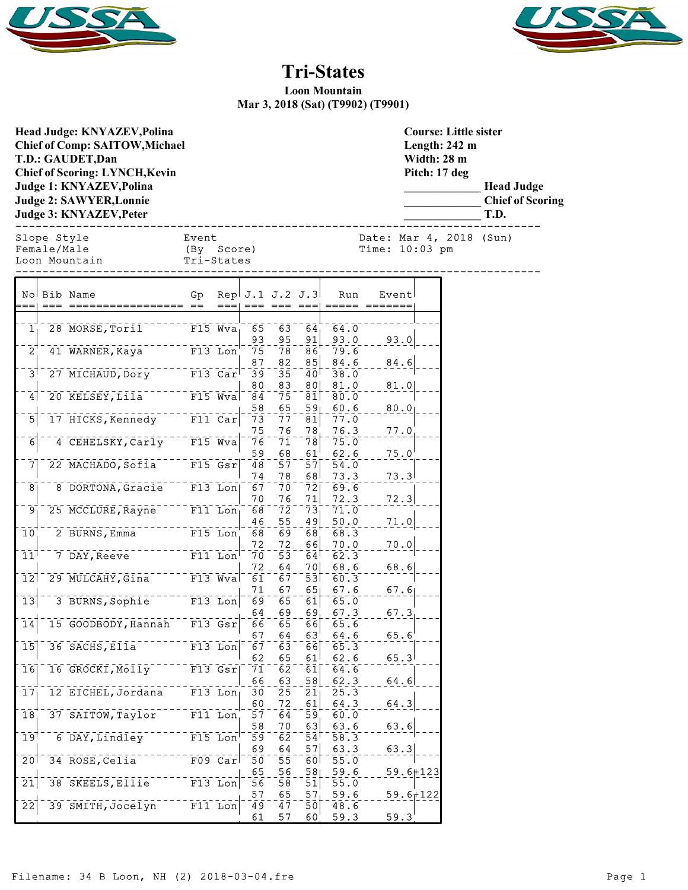



**\_\_\_\_\_\_\_\_\_\_\_\_\_ Head Judge \_\_\_\_\_\_\_\_\_\_\_\_\_ Chief of Scoring**

## **Tri-States**

**Loon Mountain Mar 3, 2018 (Sat) (T9902) (T9901)**

|                                           | Head Judge: KNYAZEV, Polina<br><b>Chief of Comp: SAITOW, Michael</b><br>T.D.: GAUDET, Dan<br><b>Chief of Scoring: LYNCH, Kevin</b><br><b>Judge 1: KNYAZEV, Polina</b><br><b>Judge 2: SAWYER, Lonnie</b><br><b>Judge 3: KNYAZEV, Peter</b> |                                   |            |                        |                        |                                   |              |                | <b>Course: Little sister</b><br>Length: 242 m<br>Width: 28 m<br>Pitch: 17 deg | <b>Head Judge</b><br><b>Chief of Sco</b><br>T.D. |
|-------------------------------------------|-------------------------------------------------------------------------------------------------------------------------------------------------------------------------------------------------------------------------------------------|-----------------------------------|------------|------------------------|------------------------|-----------------------------------|--------------|----------------|-------------------------------------------------------------------------------|--------------------------------------------------|
|                                           | Slope Style<br>Female/Male<br>Loon Mountain                                                                                                                                                                                               | Event<br>(By Score)<br>Tri-States |            |                        |                        |                                   |              | Time: 10:03 pm | Date: Mar 4, 2018 (Sun)                                                       |                                                  |
|                                           | No Bib Name                                                                                                                                                                                                                               | Gp                                |            | Rep. J.1 J.2 J.3       |                        |                                   | Run          | Event          |                                                                               |                                                  |
| 1 <sub>1</sub>                            | 28 MORSE, Toril                                                                                                                                                                                                                           | $-$ - - - - $F15$ Wva             |            | $\bar{6}5$<br>93       | $\bar{6}\bar{3}$       | $64_1$                            | 64.0<br>93.0 |                |                                                                               |                                                  |
| $2^1$                                     | 41 WARNER, Kaya                                                                                                                                                                                                                           | $F13$ Lon                         |            | 75<br>87               | 95<br>78<br>82         | 91<br>$\bar{8}\bar{6}$<br>85      | 79.6<br>84.6 | 93.0<br>84.6   |                                                                               |                                                  |
| $\bar{3}$                                 | 27 MICHAUD, Dory F13 Car                                                                                                                                                                                                                  |                                   |            | $\overline{39}$<br>80  | $\overline{35}$<br>83  | $\bar{4}\bar{0}$<br>80            | 38.0<br>81.0 |                |                                                                               |                                                  |
| 4                                         | 20 KELSEY, Lila <sup>-------</sup> F15 Wva                                                                                                                                                                                                |                                   |            | 84<br>58               | $\bar{7}\bar{5}$<br>65 | $ \bar{81} $<br>59 <sub>1</sub>   | 80.0<br>60.6 | 81.0<br>80.0   |                                                                               |                                                  |
| $\overline{5}$                            | 17 HICKS, Kennedy F11 Car                                                                                                                                                                                                                 |                                   |            | 73<br>75               | -77<br>76              | $\bar{8}\bar{1}$<br>78            | 77.0<br>76.3 | 77.0           |                                                                               |                                                  |
| $\overline{6}$                            | 4 CEHELSKY, Carly TT15 Wva                                                                                                                                                                                                                |                                   |            | 76<br>59               | $\bar{7}\bar{1}$<br>68 | 78 <br>61                         | 75.0<br>62.6 | 75.0           |                                                                               |                                                  |
| $\overline{7}$                            | 22 MACHADO, Sofia F15 Gsr                                                                                                                                                                                                                 |                                   |            | 48<br>74               | $\bar{5}\bar{7}$<br>78 | $\overline{5}\overline{7}$<br>68  | 54.0<br>73.3 | 73.3           |                                                                               |                                                  |
| $\bar{8}$                                 | 8 DORTONA, Gracie F13 Lon                                                                                                                                                                                                                 |                                   |            | 67<br>70               | 7ō.<br>76              | $\bar{7}\bar{2}$<br>71            | 69.6<br>72.3 |                |                                                                               |                                                  |
| $\overline{9}$                            | 25 MCCLURE, Rayne <sup>-----</sup> F11 Lon                                                                                                                                                                                                |                                   |            | 68                     | $\bar{7}\bar{2}$       | $\bar{7}\bar{3}$                  | 71.0         | 72.3           |                                                                               |                                                  |
| $\overline{10}$                           | $\overline{2}$ BURNS, Emma<br>$\overline{2}$ BURNS, Emma                                                                                                                                                                                  |                                   |            | 46<br>68               | 55<br>$\bar{6}9$       | 49<br>$\overline{68}$             | 50.0<br>68.3 | 71.0           |                                                                               |                                                  |
| $11$ <sup><math>\overline{1}</math></sup> |                                                                                                                                                                                                                                           |                                   |            | 72<br>-70              | 72<br>$\overline{53}$  | 66<br>$64^{\circ}$                | 70.0<br>62.3 | 70.0           |                                                                               |                                                  |
| $\overline{12}$                           | 29 MULCAHY, GIna <sup>-----</sup> F13 Wva                                                                                                                                                                                                 |                                   |            | 72<br>$\bar{6}\bar{1}$ | 64<br>67               | 70 <br>$\overline{53}$            | 68.6<br>60.3 | 68.6           |                                                                               |                                                  |
| $\overline{13}$                           | 3 BURNS, Sophie F13 Lon                                                                                                                                                                                                                   |                                   |            | 71<br>69               | 67<br>$\bar{65}$       | 65<br>$\overline{61}$             | 67.6<br>65.0 | 67.6           |                                                                               |                                                  |
| $\overline{1}\overline{4}$                | 15 GOODBODY, Hannah F13 Gsr                                                                                                                                                                                                               |                                   |            | 64<br>66               | 69<br>$\overline{65}$  | $69_1$<br>66                      | 67.3<br>65.6 | 67.3           |                                                                               |                                                  |
| $\overline{15}$                           | $36$ SACHS, Ella <sup>-</sup>                                                                                                                                                                                                             |                                   | F13 Lon    | 67<br>67               | 64<br>$\bar{6}3$       | 63<br>66                          | 64.6<br>65.3 | 65.6           |                                                                               |                                                  |
| 16                                        | 16 GROCKI, MOLLY                                                                                                                                                                                                                          |                                   | $F13$ Gsr  | 62<br>71               | 65<br>$\bar{6}\bar{2}$ | 61<br>$\overline{61}$             | 62.6<br>64.6 | 65.3           |                                                                               |                                                  |
| 17                                        | 12 EICHEL, Jordana                                                                                                                                                                                                                        |                                   | $F13$ Lon  | 66<br>30               | 63<br>$\overline{25}$  | 58<br>21                          | 62.3<br>25.3 | 64.6           |                                                                               |                                                  |
| 18                                        | 37 SAITOW, Taylor                                                                                                                                                                                                                         |                                   | $F11$ Lon  | 60<br>57               | 72<br>$\overline{64}$  | 61<br>59                          | 64.3<br>60.0 | 64.3           |                                                                               |                                                  |
| $19^{\dagger}$                            | 6 DAY, Lindley                                                                                                                                                                                                                            |                                   | $F15$ Lon  | 58<br>$\overline{59}$  | 70<br>$\bar{6}\bar{2}$ | 63<br>$\bar{5}4^{\dagger}$        | 63.6<br>58.3 | 63.6           |                                                                               |                                                  |
| 20                                        | 34 ROSE, Celia                                                                                                                                                                                                                            |                                   | $F09$ Carl | 69<br>50               | 64<br>$\overline{55}$  | 57<br>60 <sup>1</sup>             | 63.3<br>55.0 | 63.3           |                                                                               |                                                  |
| $\overline{21}$                           | 38 SKEELS, EIIIe                                                                                                                                                                                                                          |                                   | $F13$ Lon  | 65<br>$\overline{56}$  | 56<br>$\overline{58}$  | $\frac{58}{ }$<br>$\overline{51}$ | 59.6<br>55.0 | $59.6 + 123$   |                                                                               |                                                  |
| $\overline{2}\overline{2}$                | 39 SMITH, Jocelyn                                                                                                                                                                                                                         |                                   | $F11$ Lon  | 57<br>49               | 65<br>47               | 57 <sub>1</sub><br>50             | 59.6<br>48.6 | $59.6 + 122$   |                                                                               |                                                  |
|                                           |                                                                                                                                                                                                                                           |                                   |            | 61                     | 57                     | 60 <sub>1</sub>                   | 59.3         | 59.3           |                                                                               |                                                  |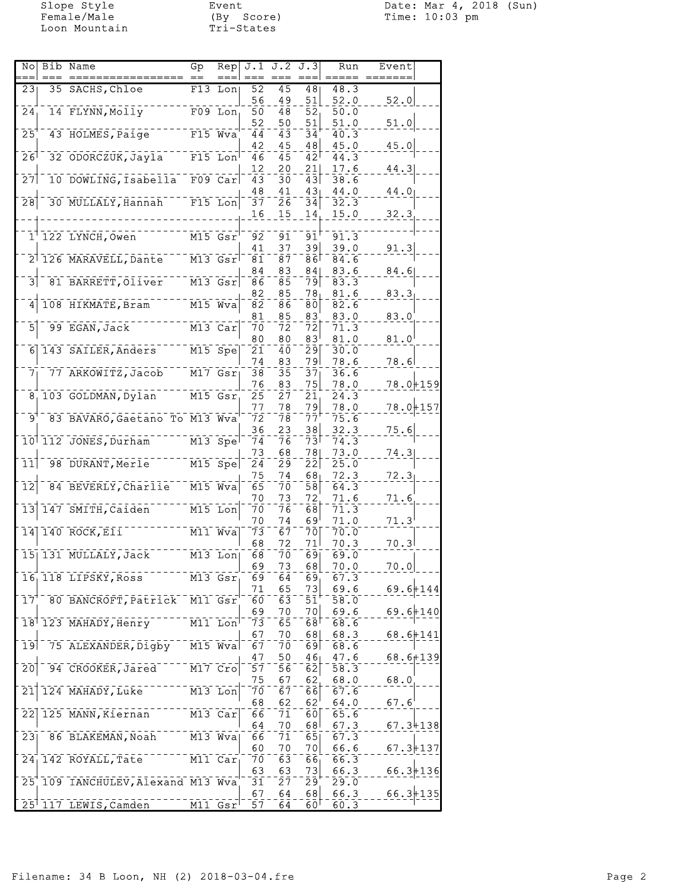Loon Mountain **Tri-States** 

Slope Style Event Date: Mar 4, 2018 (Sun) Female/Male (By Score) Time: 10:03 pm

| 35 SACHS, Chloe<br>$\overline{52}$<br>$\overline{45}$<br>48.3<br>231<br>$F13$ Lon<br>48<br>56<br>49<br>52.0<br>51<br>52.0<br>14 FLYNN, Molly<br>$F09$ Lon<br>24 <sub>1</sub><br>50<br>48<br>52<br>50.0<br>51.0<br>52<br>50<br>51<br>51.0<br>43 HOLMES, Paige F15 Wva<br>25<br>$\overline{4}3$<br>44<br>40.3<br>34<br>45<br>48<br>45.0<br>42<br>45.0<br>32 ODORCZUK, Jayla <sup>---</sup><br>$F15$ Lon<br>$26$ <sup>1</sup><br>46<br>$\bar{4}5$<br>42 <sup>1</sup><br>44.3<br>20<br>21<br>17.6<br>44.3<br>12<br>10 DOWLING, Isabella F09 Car<br>27<br>$\overline{4}3$<br>30<br>43<br>38.6<br>48<br>41<br>44.0<br>43<br>44.0<br>$\overline{28}$<br>30 MULLALY, Hannah <sup>----</sup><br>$F15$ Lon<br>$\bar{2}\bar{6}$<br>32.3<br>37<br>34<br>16<br>15<br>15.0<br>32.3<br>14<br>$11$ 122 LYNCH, Owen<br>91<br>$\bar{9}\bar{1}^{\scriptscriptstyle \dagger}$<br>$M15$ $Gsr$<br>$\overline{92}$<br>91.3<br>39<br>41<br>37<br>39.0<br>91.3<br>2 126 MARAVELL, Dante<br>$M13$ $Gsr$<br>87<br>84.6<br>ا86<br>81<br>83<br>83.6<br>84<br>841<br>84.6<br>3<br>81 BARRETT, Oliver<br>$M13$ $Gsr$<br>$\bar{8}\bar{5}$<br>86<br>83.3<br>791<br>85<br>82<br>78 <sub>1</sub><br>81.6<br>83.3<br>108 HIKMATE, Bram<br>$M15$ Wva<br>$\overline{4}$<br>$\bar{\mathbf{8}}\bar{\mathbf{2}}$<br>86<br>82.6<br>80<br>85<br>83<br>83.0<br>83.0<br>81<br>5<br>99 EGAN, Jack<br>$M13$ Car<br>72<br>70<br>72<br>71.3<br>80<br>80<br>83 <sup>1</sup><br>81.0<br>81.0<br>6 143 SAILER, Anders<br>$M15$ Spe<br>21<br>40<br>29<br>30.0<br>74<br>791<br>78.6<br>78.6<br>83<br>77 ARKOWITZ, Jacob<br>$\overline{M17}$ $\overline{GST}$<br>$\bar{3}\bar{5}$<br>38<br>$\bar{3}\bar{7}$<br>36.6<br>7 <sub>1</sub><br>$78.0 + 159$<br>76<br>83<br>75<br>78.0<br>8 103 GOLDMAN, Dylan<br>$M15$ $Gsr$<br>$\bar{2}\bar{7}$<br>25<br>24.3<br>21<br>78.0+157<br>79<br>77<br>78<br>78.0<br>83 BAVARO, Gaetano To M13 Wya<br>ララ†<br>'و<br>$\bar{7}\bar{2}$<br>78<br>75.6<br>38<br>36<br>23<br>32.3<br>75.6<br>10 112 JONES, Durham<br>$\overline{M13}$ Spe<br>$\bar{7}\bar{4}$<br>76<br>731<br>74.3<br>68<br>781<br>73.0<br>73<br>74.3<br>98 DURANT, Merle M15 Spe<br>$\overline{1}\overline{1}$<br>$\bar{2}\bar{4}$<br>$\bar{2}\bar{9}$<br>$\bar{2}\bar{2}$<br>25.0<br>72.3<br>75<br>74<br>68 <sub>1</sub><br>72.3<br>$\bar{1}\bar{2}$<br>84 BEVERLY, Charlie M15 Wva<br>$\bar{6}5$<br>$\overline{58}$<br>64.3<br>70<br>70<br>73<br>72,<br>71.6<br>71.6<br>147 SMITH, Caiden M15 Lon<br>13<br>76<br>70<br>68<br>71.3<br>71.0<br>71.3<br>70<br>74<br>69'<br>14 140 ROCK, EII<br>$M11$ Wva<br>67<br>73<br>70<br>70.0<br>68<br>71<br>70.3<br>72<br>70.3<br>7ō<br>$\overline{69}$<br>15 131 MULLALY, Jack<br>M13 Lon<br>68<br>69.0<br>69<br>73<br>68<br>70.0<br>70.0<br>69<br>16, 118 LIPSKY, Ross<br>69<br>64<br>67.3<br>M13 Gsr<br>$69.6 + 144$<br>69.6<br>65<br>73<br>71<br>$\overline{M11}$ Gsr<br>$17^{\circ}$<br>80 BANCROFT, Patrick<br>60<br>63<br>51<br>58.0<br>$69.6 + 140$<br>7이<br>69.6<br>69<br>70<br>18 123 MAHADY, Henry<br>$\overline{M11}$ Lon<br>73<br>$\bar{6}\bar{5}$<br>68<br>68.6<br>67<br>70<br>68 <br>68.3<br>$68.6 + 141$<br>$M15$ $Wva$<br>75 ALEXANDER, Digby<br>19<br>70<br>69<br>68.6<br>67<br>47<br>50<br>46 <sub>1</sub><br>47.6<br>$68.6 + 139$<br>94 CROOKER, Jared<br>$\bar{2}\bar{0}$<br>$  \overline{M17}$ $\overline{C}$ ro<br>57<br>$\bar{5}\bar{6}$<br>62<br>58.3<br>75<br>68.0<br>67<br>62.<br>68.0<br>124 MAHADY, Luke M13 Lon<br>$\overline{21}$<br>70<br>67<br>$\overline{66}$<br>67.6<br>68<br>62<br>62'<br>64.0<br>67.6'<br>125 MANN, Kiernan<br>22<br>M13 Car<br>$\bar{66}$<br>71<br>60<br>65.6<br>64<br>70<br>68 <sup> </sup><br>67.3<br>$67.3 + 138$<br>$-- M13$ Wva<br>$\overline{2}\overline{3}$<br>86 BLAKEMAN, Noah<br>66<br>71<br>65<br>67.3<br>66.6<br>$67.3 + 137$<br>60<br>70<br>70 <br>$\overline{M11}$ Car<br>24 142 ROYALL, Tate<br>70<br>63<br>66<br>66.3<br>73<br>$66.3 + 136$<br>63<br>63<br>66.3<br>25 109 IANCHULEV, Alexand M13 Wya<br>27<br>$\bar{2}\bar{9}$<br>29.0<br>31<br>$66.3 + 135$<br>67<br>64<br>68<br>66.3<br>25 117 LEWIS, Camden<br>$M11$ $Gsr$<br>$\overline{57}$ | Nol | Bib Name | Gp | Rep | $J.1$ $J.2$ $J.3$ |                 | Run  | Event |  |
|----------------------------------------------------------------------------------------------------------------------------------------------------------------------------------------------------------------------------------------------------------------------------------------------------------------------------------------------------------------------------------------------------------------------------------------------------------------------------------------------------------------------------------------------------------------------------------------------------------------------------------------------------------------------------------------------------------------------------------------------------------------------------------------------------------------------------------------------------------------------------------------------------------------------------------------------------------------------------------------------------------------------------------------------------------------------------------------------------------------------------------------------------------------------------------------------------------------------------------------------------------------------------------------------------------------------------------------------------------------------------------------------------------------------------------------------------------------------------------------------------------------------------------------------------------------------------------------------------------------------------------------------------------------------------------------------------------------------------------------------------------------------------------------------------------------------------------------------------------------------------------------------------------------------------------------------------------------------------------------------------------------------------------------------------------------------------------------------------------------------------------------------------------------------------------------------------------------------------------------------------------------------------------------------------------------------------------------------------------------------------------------------------------------------------------------------------------------------------------------------------------------------------------------------------------------------------------------------------------------------------------------------------------------------------------------------------------------------------------------------------------------------------------------------------------------------------------------------------------------------------------------------------------------------------------------------------------------------------------------------------------------------------------------------------------------------------------------------------------------------------------------------------------------------------------------------------------------------------------------------------------------------------------------------------------------------------------------------------------------------------------------------------------------------------------------------------------------------------------------------------------------------------------------------------------------------------------------------------------------------------------------------------------------------------------------------------------------------------------------------------------------------------------------------------------------------------------------------------------------------------------------------------------------------------------------------------------------------------------------------------------------------------------------------------------------------------------------------------|-----|----------|----|-----|-------------------|-----------------|------|-------|--|
|                                                                                                                                                                                                                                                                                                                                                                                                                                                                                                                                                                                                                                                                                                                                                                                                                                                                                                                                                                                                                                                                                                                                                                                                                                                                                                                                                                                                                                                                                                                                                                                                                                                                                                                                                                                                                                                                                                                                                                                                                                                                                                                                                                                                                                                                                                                                                                                                                                                                                                                                                                                                                                                                                                                                                                                                                                                                                                                                                                                                                                                                                                                                                                                                                                                                                                                                                                                                                                                                                                                                                                                                                                                                                                                                                                                                                                                                                                                                                                                                                                                                                                    |     |          |    |     |                   |                 |      |       |  |
|                                                                                                                                                                                                                                                                                                                                                                                                                                                                                                                                                                                                                                                                                                                                                                                                                                                                                                                                                                                                                                                                                                                                                                                                                                                                                                                                                                                                                                                                                                                                                                                                                                                                                                                                                                                                                                                                                                                                                                                                                                                                                                                                                                                                                                                                                                                                                                                                                                                                                                                                                                                                                                                                                                                                                                                                                                                                                                                                                                                                                                                                                                                                                                                                                                                                                                                                                                                                                                                                                                                                                                                                                                                                                                                                                                                                                                                                                                                                                                                                                                                                                                    |     |          |    |     |                   |                 |      |       |  |
|                                                                                                                                                                                                                                                                                                                                                                                                                                                                                                                                                                                                                                                                                                                                                                                                                                                                                                                                                                                                                                                                                                                                                                                                                                                                                                                                                                                                                                                                                                                                                                                                                                                                                                                                                                                                                                                                                                                                                                                                                                                                                                                                                                                                                                                                                                                                                                                                                                                                                                                                                                                                                                                                                                                                                                                                                                                                                                                                                                                                                                                                                                                                                                                                                                                                                                                                                                                                                                                                                                                                                                                                                                                                                                                                                                                                                                                                                                                                                                                                                                                                                                    |     |          |    |     |                   |                 |      |       |  |
|                                                                                                                                                                                                                                                                                                                                                                                                                                                                                                                                                                                                                                                                                                                                                                                                                                                                                                                                                                                                                                                                                                                                                                                                                                                                                                                                                                                                                                                                                                                                                                                                                                                                                                                                                                                                                                                                                                                                                                                                                                                                                                                                                                                                                                                                                                                                                                                                                                                                                                                                                                                                                                                                                                                                                                                                                                                                                                                                                                                                                                                                                                                                                                                                                                                                                                                                                                                                                                                                                                                                                                                                                                                                                                                                                                                                                                                                                                                                                                                                                                                                                                    |     |          |    |     |                   |                 |      |       |  |
|                                                                                                                                                                                                                                                                                                                                                                                                                                                                                                                                                                                                                                                                                                                                                                                                                                                                                                                                                                                                                                                                                                                                                                                                                                                                                                                                                                                                                                                                                                                                                                                                                                                                                                                                                                                                                                                                                                                                                                                                                                                                                                                                                                                                                                                                                                                                                                                                                                                                                                                                                                                                                                                                                                                                                                                                                                                                                                                                                                                                                                                                                                                                                                                                                                                                                                                                                                                                                                                                                                                                                                                                                                                                                                                                                                                                                                                                                                                                                                                                                                                                                                    |     |          |    |     |                   |                 |      |       |  |
|                                                                                                                                                                                                                                                                                                                                                                                                                                                                                                                                                                                                                                                                                                                                                                                                                                                                                                                                                                                                                                                                                                                                                                                                                                                                                                                                                                                                                                                                                                                                                                                                                                                                                                                                                                                                                                                                                                                                                                                                                                                                                                                                                                                                                                                                                                                                                                                                                                                                                                                                                                                                                                                                                                                                                                                                                                                                                                                                                                                                                                                                                                                                                                                                                                                                                                                                                                                                                                                                                                                                                                                                                                                                                                                                                                                                                                                                                                                                                                                                                                                                                                    |     |          |    |     |                   |                 |      |       |  |
|                                                                                                                                                                                                                                                                                                                                                                                                                                                                                                                                                                                                                                                                                                                                                                                                                                                                                                                                                                                                                                                                                                                                                                                                                                                                                                                                                                                                                                                                                                                                                                                                                                                                                                                                                                                                                                                                                                                                                                                                                                                                                                                                                                                                                                                                                                                                                                                                                                                                                                                                                                                                                                                                                                                                                                                                                                                                                                                                                                                                                                                                                                                                                                                                                                                                                                                                                                                                                                                                                                                                                                                                                                                                                                                                                                                                                                                                                                                                                                                                                                                                                                    |     |          |    |     |                   |                 |      |       |  |
|                                                                                                                                                                                                                                                                                                                                                                                                                                                                                                                                                                                                                                                                                                                                                                                                                                                                                                                                                                                                                                                                                                                                                                                                                                                                                                                                                                                                                                                                                                                                                                                                                                                                                                                                                                                                                                                                                                                                                                                                                                                                                                                                                                                                                                                                                                                                                                                                                                                                                                                                                                                                                                                                                                                                                                                                                                                                                                                                                                                                                                                                                                                                                                                                                                                                                                                                                                                                                                                                                                                                                                                                                                                                                                                                                                                                                                                                                                                                                                                                                                                                                                    |     |          |    |     |                   |                 |      |       |  |
|                                                                                                                                                                                                                                                                                                                                                                                                                                                                                                                                                                                                                                                                                                                                                                                                                                                                                                                                                                                                                                                                                                                                                                                                                                                                                                                                                                                                                                                                                                                                                                                                                                                                                                                                                                                                                                                                                                                                                                                                                                                                                                                                                                                                                                                                                                                                                                                                                                                                                                                                                                                                                                                                                                                                                                                                                                                                                                                                                                                                                                                                                                                                                                                                                                                                                                                                                                                                                                                                                                                                                                                                                                                                                                                                                                                                                                                                                                                                                                                                                                                                                                    |     |          |    |     |                   |                 |      |       |  |
|                                                                                                                                                                                                                                                                                                                                                                                                                                                                                                                                                                                                                                                                                                                                                                                                                                                                                                                                                                                                                                                                                                                                                                                                                                                                                                                                                                                                                                                                                                                                                                                                                                                                                                                                                                                                                                                                                                                                                                                                                                                                                                                                                                                                                                                                                                                                                                                                                                                                                                                                                                                                                                                                                                                                                                                                                                                                                                                                                                                                                                                                                                                                                                                                                                                                                                                                                                                                                                                                                                                                                                                                                                                                                                                                                                                                                                                                                                                                                                                                                                                                                                    |     |          |    |     |                   |                 |      |       |  |
|                                                                                                                                                                                                                                                                                                                                                                                                                                                                                                                                                                                                                                                                                                                                                                                                                                                                                                                                                                                                                                                                                                                                                                                                                                                                                                                                                                                                                                                                                                                                                                                                                                                                                                                                                                                                                                                                                                                                                                                                                                                                                                                                                                                                                                                                                                                                                                                                                                                                                                                                                                                                                                                                                                                                                                                                                                                                                                                                                                                                                                                                                                                                                                                                                                                                                                                                                                                                                                                                                                                                                                                                                                                                                                                                                                                                                                                                                                                                                                                                                                                                                                    |     |          |    |     |                   |                 |      |       |  |
|                                                                                                                                                                                                                                                                                                                                                                                                                                                                                                                                                                                                                                                                                                                                                                                                                                                                                                                                                                                                                                                                                                                                                                                                                                                                                                                                                                                                                                                                                                                                                                                                                                                                                                                                                                                                                                                                                                                                                                                                                                                                                                                                                                                                                                                                                                                                                                                                                                                                                                                                                                                                                                                                                                                                                                                                                                                                                                                                                                                                                                                                                                                                                                                                                                                                                                                                                                                                                                                                                                                                                                                                                                                                                                                                                                                                                                                                                                                                                                                                                                                                                                    |     |          |    |     |                   |                 |      |       |  |
|                                                                                                                                                                                                                                                                                                                                                                                                                                                                                                                                                                                                                                                                                                                                                                                                                                                                                                                                                                                                                                                                                                                                                                                                                                                                                                                                                                                                                                                                                                                                                                                                                                                                                                                                                                                                                                                                                                                                                                                                                                                                                                                                                                                                                                                                                                                                                                                                                                                                                                                                                                                                                                                                                                                                                                                                                                                                                                                                                                                                                                                                                                                                                                                                                                                                                                                                                                                                                                                                                                                                                                                                                                                                                                                                                                                                                                                                                                                                                                                                                                                                                                    |     |          |    |     |                   |                 |      |       |  |
|                                                                                                                                                                                                                                                                                                                                                                                                                                                                                                                                                                                                                                                                                                                                                                                                                                                                                                                                                                                                                                                                                                                                                                                                                                                                                                                                                                                                                                                                                                                                                                                                                                                                                                                                                                                                                                                                                                                                                                                                                                                                                                                                                                                                                                                                                                                                                                                                                                                                                                                                                                                                                                                                                                                                                                                                                                                                                                                                                                                                                                                                                                                                                                                                                                                                                                                                                                                                                                                                                                                                                                                                                                                                                                                                                                                                                                                                                                                                                                                                                                                                                                    |     |          |    |     |                   |                 |      |       |  |
|                                                                                                                                                                                                                                                                                                                                                                                                                                                                                                                                                                                                                                                                                                                                                                                                                                                                                                                                                                                                                                                                                                                                                                                                                                                                                                                                                                                                                                                                                                                                                                                                                                                                                                                                                                                                                                                                                                                                                                                                                                                                                                                                                                                                                                                                                                                                                                                                                                                                                                                                                                                                                                                                                                                                                                                                                                                                                                                                                                                                                                                                                                                                                                                                                                                                                                                                                                                                                                                                                                                                                                                                                                                                                                                                                                                                                                                                                                                                                                                                                                                                                                    |     |          |    |     |                   |                 |      |       |  |
|                                                                                                                                                                                                                                                                                                                                                                                                                                                                                                                                                                                                                                                                                                                                                                                                                                                                                                                                                                                                                                                                                                                                                                                                                                                                                                                                                                                                                                                                                                                                                                                                                                                                                                                                                                                                                                                                                                                                                                                                                                                                                                                                                                                                                                                                                                                                                                                                                                                                                                                                                                                                                                                                                                                                                                                                                                                                                                                                                                                                                                                                                                                                                                                                                                                                                                                                                                                                                                                                                                                                                                                                                                                                                                                                                                                                                                                                                                                                                                                                                                                                                                    |     |          |    |     |                   |                 |      |       |  |
|                                                                                                                                                                                                                                                                                                                                                                                                                                                                                                                                                                                                                                                                                                                                                                                                                                                                                                                                                                                                                                                                                                                                                                                                                                                                                                                                                                                                                                                                                                                                                                                                                                                                                                                                                                                                                                                                                                                                                                                                                                                                                                                                                                                                                                                                                                                                                                                                                                                                                                                                                                                                                                                                                                                                                                                                                                                                                                                                                                                                                                                                                                                                                                                                                                                                                                                                                                                                                                                                                                                                                                                                                                                                                                                                                                                                                                                                                                                                                                                                                                                                                                    |     |          |    |     |                   |                 |      |       |  |
|                                                                                                                                                                                                                                                                                                                                                                                                                                                                                                                                                                                                                                                                                                                                                                                                                                                                                                                                                                                                                                                                                                                                                                                                                                                                                                                                                                                                                                                                                                                                                                                                                                                                                                                                                                                                                                                                                                                                                                                                                                                                                                                                                                                                                                                                                                                                                                                                                                                                                                                                                                                                                                                                                                                                                                                                                                                                                                                                                                                                                                                                                                                                                                                                                                                                                                                                                                                                                                                                                                                                                                                                                                                                                                                                                                                                                                                                                                                                                                                                                                                                                                    |     |          |    |     |                   |                 |      |       |  |
|                                                                                                                                                                                                                                                                                                                                                                                                                                                                                                                                                                                                                                                                                                                                                                                                                                                                                                                                                                                                                                                                                                                                                                                                                                                                                                                                                                                                                                                                                                                                                                                                                                                                                                                                                                                                                                                                                                                                                                                                                                                                                                                                                                                                                                                                                                                                                                                                                                                                                                                                                                                                                                                                                                                                                                                                                                                                                                                                                                                                                                                                                                                                                                                                                                                                                                                                                                                                                                                                                                                                                                                                                                                                                                                                                                                                                                                                                                                                                                                                                                                                                                    |     |          |    |     |                   |                 |      |       |  |
|                                                                                                                                                                                                                                                                                                                                                                                                                                                                                                                                                                                                                                                                                                                                                                                                                                                                                                                                                                                                                                                                                                                                                                                                                                                                                                                                                                                                                                                                                                                                                                                                                                                                                                                                                                                                                                                                                                                                                                                                                                                                                                                                                                                                                                                                                                                                                                                                                                                                                                                                                                                                                                                                                                                                                                                                                                                                                                                                                                                                                                                                                                                                                                                                                                                                                                                                                                                                                                                                                                                                                                                                                                                                                                                                                                                                                                                                                                                                                                                                                                                                                                    |     |          |    |     |                   |                 |      |       |  |
|                                                                                                                                                                                                                                                                                                                                                                                                                                                                                                                                                                                                                                                                                                                                                                                                                                                                                                                                                                                                                                                                                                                                                                                                                                                                                                                                                                                                                                                                                                                                                                                                                                                                                                                                                                                                                                                                                                                                                                                                                                                                                                                                                                                                                                                                                                                                                                                                                                                                                                                                                                                                                                                                                                                                                                                                                                                                                                                                                                                                                                                                                                                                                                                                                                                                                                                                                                                                                                                                                                                                                                                                                                                                                                                                                                                                                                                                                                                                                                                                                                                                                                    |     |          |    |     |                   |                 |      |       |  |
|                                                                                                                                                                                                                                                                                                                                                                                                                                                                                                                                                                                                                                                                                                                                                                                                                                                                                                                                                                                                                                                                                                                                                                                                                                                                                                                                                                                                                                                                                                                                                                                                                                                                                                                                                                                                                                                                                                                                                                                                                                                                                                                                                                                                                                                                                                                                                                                                                                                                                                                                                                                                                                                                                                                                                                                                                                                                                                                                                                                                                                                                                                                                                                                                                                                                                                                                                                                                                                                                                                                                                                                                                                                                                                                                                                                                                                                                                                                                                                                                                                                                                                    |     |          |    |     |                   |                 |      |       |  |
|                                                                                                                                                                                                                                                                                                                                                                                                                                                                                                                                                                                                                                                                                                                                                                                                                                                                                                                                                                                                                                                                                                                                                                                                                                                                                                                                                                                                                                                                                                                                                                                                                                                                                                                                                                                                                                                                                                                                                                                                                                                                                                                                                                                                                                                                                                                                                                                                                                                                                                                                                                                                                                                                                                                                                                                                                                                                                                                                                                                                                                                                                                                                                                                                                                                                                                                                                                                                                                                                                                                                                                                                                                                                                                                                                                                                                                                                                                                                                                                                                                                                                                    |     |          |    |     |                   |                 |      |       |  |
|                                                                                                                                                                                                                                                                                                                                                                                                                                                                                                                                                                                                                                                                                                                                                                                                                                                                                                                                                                                                                                                                                                                                                                                                                                                                                                                                                                                                                                                                                                                                                                                                                                                                                                                                                                                                                                                                                                                                                                                                                                                                                                                                                                                                                                                                                                                                                                                                                                                                                                                                                                                                                                                                                                                                                                                                                                                                                                                                                                                                                                                                                                                                                                                                                                                                                                                                                                                                                                                                                                                                                                                                                                                                                                                                                                                                                                                                                                                                                                                                                                                                                                    |     |          |    |     |                   |                 |      |       |  |
|                                                                                                                                                                                                                                                                                                                                                                                                                                                                                                                                                                                                                                                                                                                                                                                                                                                                                                                                                                                                                                                                                                                                                                                                                                                                                                                                                                                                                                                                                                                                                                                                                                                                                                                                                                                                                                                                                                                                                                                                                                                                                                                                                                                                                                                                                                                                                                                                                                                                                                                                                                                                                                                                                                                                                                                                                                                                                                                                                                                                                                                                                                                                                                                                                                                                                                                                                                                                                                                                                                                                                                                                                                                                                                                                                                                                                                                                                                                                                                                                                                                                                                    |     |          |    |     |                   |                 |      |       |  |
|                                                                                                                                                                                                                                                                                                                                                                                                                                                                                                                                                                                                                                                                                                                                                                                                                                                                                                                                                                                                                                                                                                                                                                                                                                                                                                                                                                                                                                                                                                                                                                                                                                                                                                                                                                                                                                                                                                                                                                                                                                                                                                                                                                                                                                                                                                                                                                                                                                                                                                                                                                                                                                                                                                                                                                                                                                                                                                                                                                                                                                                                                                                                                                                                                                                                                                                                                                                                                                                                                                                                                                                                                                                                                                                                                                                                                                                                                                                                                                                                                                                                                                    |     |          |    |     |                   |                 |      |       |  |
|                                                                                                                                                                                                                                                                                                                                                                                                                                                                                                                                                                                                                                                                                                                                                                                                                                                                                                                                                                                                                                                                                                                                                                                                                                                                                                                                                                                                                                                                                                                                                                                                                                                                                                                                                                                                                                                                                                                                                                                                                                                                                                                                                                                                                                                                                                                                                                                                                                                                                                                                                                                                                                                                                                                                                                                                                                                                                                                                                                                                                                                                                                                                                                                                                                                                                                                                                                                                                                                                                                                                                                                                                                                                                                                                                                                                                                                                                                                                                                                                                                                                                                    |     |          |    |     |                   |                 |      |       |  |
|                                                                                                                                                                                                                                                                                                                                                                                                                                                                                                                                                                                                                                                                                                                                                                                                                                                                                                                                                                                                                                                                                                                                                                                                                                                                                                                                                                                                                                                                                                                                                                                                                                                                                                                                                                                                                                                                                                                                                                                                                                                                                                                                                                                                                                                                                                                                                                                                                                                                                                                                                                                                                                                                                                                                                                                                                                                                                                                                                                                                                                                                                                                                                                                                                                                                                                                                                                                                                                                                                                                                                                                                                                                                                                                                                                                                                                                                                                                                                                                                                                                                                                    |     |          |    |     |                   |                 |      |       |  |
|                                                                                                                                                                                                                                                                                                                                                                                                                                                                                                                                                                                                                                                                                                                                                                                                                                                                                                                                                                                                                                                                                                                                                                                                                                                                                                                                                                                                                                                                                                                                                                                                                                                                                                                                                                                                                                                                                                                                                                                                                                                                                                                                                                                                                                                                                                                                                                                                                                                                                                                                                                                                                                                                                                                                                                                                                                                                                                                                                                                                                                                                                                                                                                                                                                                                                                                                                                                                                                                                                                                                                                                                                                                                                                                                                                                                                                                                                                                                                                                                                                                                                                    |     |          |    |     |                   |                 |      |       |  |
|                                                                                                                                                                                                                                                                                                                                                                                                                                                                                                                                                                                                                                                                                                                                                                                                                                                                                                                                                                                                                                                                                                                                                                                                                                                                                                                                                                                                                                                                                                                                                                                                                                                                                                                                                                                                                                                                                                                                                                                                                                                                                                                                                                                                                                                                                                                                                                                                                                                                                                                                                                                                                                                                                                                                                                                                                                                                                                                                                                                                                                                                                                                                                                                                                                                                                                                                                                                                                                                                                                                                                                                                                                                                                                                                                                                                                                                                                                                                                                                                                                                                                                    |     |          |    |     |                   |                 |      |       |  |
|                                                                                                                                                                                                                                                                                                                                                                                                                                                                                                                                                                                                                                                                                                                                                                                                                                                                                                                                                                                                                                                                                                                                                                                                                                                                                                                                                                                                                                                                                                                                                                                                                                                                                                                                                                                                                                                                                                                                                                                                                                                                                                                                                                                                                                                                                                                                                                                                                                                                                                                                                                                                                                                                                                                                                                                                                                                                                                                                                                                                                                                                                                                                                                                                                                                                                                                                                                                                                                                                                                                                                                                                                                                                                                                                                                                                                                                                                                                                                                                                                                                                                                    |     |          |    |     |                   |                 |      |       |  |
|                                                                                                                                                                                                                                                                                                                                                                                                                                                                                                                                                                                                                                                                                                                                                                                                                                                                                                                                                                                                                                                                                                                                                                                                                                                                                                                                                                                                                                                                                                                                                                                                                                                                                                                                                                                                                                                                                                                                                                                                                                                                                                                                                                                                                                                                                                                                                                                                                                                                                                                                                                                                                                                                                                                                                                                                                                                                                                                                                                                                                                                                                                                                                                                                                                                                                                                                                                                                                                                                                                                                                                                                                                                                                                                                                                                                                                                                                                                                                                                                                                                                                                    |     |          |    |     |                   |                 |      |       |  |
|                                                                                                                                                                                                                                                                                                                                                                                                                                                                                                                                                                                                                                                                                                                                                                                                                                                                                                                                                                                                                                                                                                                                                                                                                                                                                                                                                                                                                                                                                                                                                                                                                                                                                                                                                                                                                                                                                                                                                                                                                                                                                                                                                                                                                                                                                                                                                                                                                                                                                                                                                                                                                                                                                                                                                                                                                                                                                                                                                                                                                                                                                                                                                                                                                                                                                                                                                                                                                                                                                                                                                                                                                                                                                                                                                                                                                                                                                                                                                                                                                                                                                                    |     |          |    |     |                   |                 |      |       |  |
|                                                                                                                                                                                                                                                                                                                                                                                                                                                                                                                                                                                                                                                                                                                                                                                                                                                                                                                                                                                                                                                                                                                                                                                                                                                                                                                                                                                                                                                                                                                                                                                                                                                                                                                                                                                                                                                                                                                                                                                                                                                                                                                                                                                                                                                                                                                                                                                                                                                                                                                                                                                                                                                                                                                                                                                                                                                                                                                                                                                                                                                                                                                                                                                                                                                                                                                                                                                                                                                                                                                                                                                                                                                                                                                                                                                                                                                                                                                                                                                                                                                                                                    |     |          |    |     |                   |                 |      |       |  |
|                                                                                                                                                                                                                                                                                                                                                                                                                                                                                                                                                                                                                                                                                                                                                                                                                                                                                                                                                                                                                                                                                                                                                                                                                                                                                                                                                                                                                                                                                                                                                                                                                                                                                                                                                                                                                                                                                                                                                                                                                                                                                                                                                                                                                                                                                                                                                                                                                                                                                                                                                                                                                                                                                                                                                                                                                                                                                                                                                                                                                                                                                                                                                                                                                                                                                                                                                                                                                                                                                                                                                                                                                                                                                                                                                                                                                                                                                                                                                                                                                                                                                                    |     |          |    |     |                   |                 |      |       |  |
|                                                                                                                                                                                                                                                                                                                                                                                                                                                                                                                                                                                                                                                                                                                                                                                                                                                                                                                                                                                                                                                                                                                                                                                                                                                                                                                                                                                                                                                                                                                                                                                                                                                                                                                                                                                                                                                                                                                                                                                                                                                                                                                                                                                                                                                                                                                                                                                                                                                                                                                                                                                                                                                                                                                                                                                                                                                                                                                                                                                                                                                                                                                                                                                                                                                                                                                                                                                                                                                                                                                                                                                                                                                                                                                                                                                                                                                                                                                                                                                                                                                                                                    |     |          |    |     |                   |                 |      |       |  |
|                                                                                                                                                                                                                                                                                                                                                                                                                                                                                                                                                                                                                                                                                                                                                                                                                                                                                                                                                                                                                                                                                                                                                                                                                                                                                                                                                                                                                                                                                                                                                                                                                                                                                                                                                                                                                                                                                                                                                                                                                                                                                                                                                                                                                                                                                                                                                                                                                                                                                                                                                                                                                                                                                                                                                                                                                                                                                                                                                                                                                                                                                                                                                                                                                                                                                                                                                                                                                                                                                                                                                                                                                                                                                                                                                                                                                                                                                                                                                                                                                                                                                                    |     |          |    |     |                   |                 |      |       |  |
|                                                                                                                                                                                                                                                                                                                                                                                                                                                                                                                                                                                                                                                                                                                                                                                                                                                                                                                                                                                                                                                                                                                                                                                                                                                                                                                                                                                                                                                                                                                                                                                                                                                                                                                                                                                                                                                                                                                                                                                                                                                                                                                                                                                                                                                                                                                                                                                                                                                                                                                                                                                                                                                                                                                                                                                                                                                                                                                                                                                                                                                                                                                                                                                                                                                                                                                                                                                                                                                                                                                                                                                                                                                                                                                                                                                                                                                                                                                                                                                                                                                                                                    |     |          |    |     |                   |                 |      |       |  |
|                                                                                                                                                                                                                                                                                                                                                                                                                                                                                                                                                                                                                                                                                                                                                                                                                                                                                                                                                                                                                                                                                                                                                                                                                                                                                                                                                                                                                                                                                                                                                                                                                                                                                                                                                                                                                                                                                                                                                                                                                                                                                                                                                                                                                                                                                                                                                                                                                                                                                                                                                                                                                                                                                                                                                                                                                                                                                                                                                                                                                                                                                                                                                                                                                                                                                                                                                                                                                                                                                                                                                                                                                                                                                                                                                                                                                                                                                                                                                                                                                                                                                                    |     |          |    |     |                   |                 |      |       |  |
|                                                                                                                                                                                                                                                                                                                                                                                                                                                                                                                                                                                                                                                                                                                                                                                                                                                                                                                                                                                                                                                                                                                                                                                                                                                                                                                                                                                                                                                                                                                                                                                                                                                                                                                                                                                                                                                                                                                                                                                                                                                                                                                                                                                                                                                                                                                                                                                                                                                                                                                                                                                                                                                                                                                                                                                                                                                                                                                                                                                                                                                                                                                                                                                                                                                                                                                                                                                                                                                                                                                                                                                                                                                                                                                                                                                                                                                                                                                                                                                                                                                                                                    |     |          |    |     |                   |                 |      |       |  |
|                                                                                                                                                                                                                                                                                                                                                                                                                                                                                                                                                                                                                                                                                                                                                                                                                                                                                                                                                                                                                                                                                                                                                                                                                                                                                                                                                                                                                                                                                                                                                                                                                                                                                                                                                                                                                                                                                                                                                                                                                                                                                                                                                                                                                                                                                                                                                                                                                                                                                                                                                                                                                                                                                                                                                                                                                                                                                                                                                                                                                                                                                                                                                                                                                                                                                                                                                                                                                                                                                                                                                                                                                                                                                                                                                                                                                                                                                                                                                                                                                                                                                                    |     |          |    |     |                   |                 |      |       |  |
|                                                                                                                                                                                                                                                                                                                                                                                                                                                                                                                                                                                                                                                                                                                                                                                                                                                                                                                                                                                                                                                                                                                                                                                                                                                                                                                                                                                                                                                                                                                                                                                                                                                                                                                                                                                                                                                                                                                                                                                                                                                                                                                                                                                                                                                                                                                                                                                                                                                                                                                                                                                                                                                                                                                                                                                                                                                                                                                                                                                                                                                                                                                                                                                                                                                                                                                                                                                                                                                                                                                                                                                                                                                                                                                                                                                                                                                                                                                                                                                                                                                                                                    |     |          |    |     |                   |                 |      |       |  |
|                                                                                                                                                                                                                                                                                                                                                                                                                                                                                                                                                                                                                                                                                                                                                                                                                                                                                                                                                                                                                                                                                                                                                                                                                                                                                                                                                                                                                                                                                                                                                                                                                                                                                                                                                                                                                                                                                                                                                                                                                                                                                                                                                                                                                                                                                                                                                                                                                                                                                                                                                                                                                                                                                                                                                                                                                                                                                                                                                                                                                                                                                                                                                                                                                                                                                                                                                                                                                                                                                                                                                                                                                                                                                                                                                                                                                                                                                                                                                                                                                                                                                                    |     |          |    |     |                   |                 |      |       |  |
|                                                                                                                                                                                                                                                                                                                                                                                                                                                                                                                                                                                                                                                                                                                                                                                                                                                                                                                                                                                                                                                                                                                                                                                                                                                                                                                                                                                                                                                                                                                                                                                                                                                                                                                                                                                                                                                                                                                                                                                                                                                                                                                                                                                                                                                                                                                                                                                                                                                                                                                                                                                                                                                                                                                                                                                                                                                                                                                                                                                                                                                                                                                                                                                                                                                                                                                                                                                                                                                                                                                                                                                                                                                                                                                                                                                                                                                                                                                                                                                                                                                                                                    |     |          |    |     |                   |                 |      |       |  |
|                                                                                                                                                                                                                                                                                                                                                                                                                                                                                                                                                                                                                                                                                                                                                                                                                                                                                                                                                                                                                                                                                                                                                                                                                                                                                                                                                                                                                                                                                                                                                                                                                                                                                                                                                                                                                                                                                                                                                                                                                                                                                                                                                                                                                                                                                                                                                                                                                                                                                                                                                                                                                                                                                                                                                                                                                                                                                                                                                                                                                                                                                                                                                                                                                                                                                                                                                                                                                                                                                                                                                                                                                                                                                                                                                                                                                                                                                                                                                                                                                                                                                                    |     |          |    |     |                   |                 |      |       |  |
|                                                                                                                                                                                                                                                                                                                                                                                                                                                                                                                                                                                                                                                                                                                                                                                                                                                                                                                                                                                                                                                                                                                                                                                                                                                                                                                                                                                                                                                                                                                                                                                                                                                                                                                                                                                                                                                                                                                                                                                                                                                                                                                                                                                                                                                                                                                                                                                                                                                                                                                                                                                                                                                                                                                                                                                                                                                                                                                                                                                                                                                                                                                                                                                                                                                                                                                                                                                                                                                                                                                                                                                                                                                                                                                                                                                                                                                                                                                                                                                                                                                                                                    |     |          |    |     |                   |                 |      |       |  |
|                                                                                                                                                                                                                                                                                                                                                                                                                                                                                                                                                                                                                                                                                                                                                                                                                                                                                                                                                                                                                                                                                                                                                                                                                                                                                                                                                                                                                                                                                                                                                                                                                                                                                                                                                                                                                                                                                                                                                                                                                                                                                                                                                                                                                                                                                                                                                                                                                                                                                                                                                                                                                                                                                                                                                                                                                                                                                                                                                                                                                                                                                                                                                                                                                                                                                                                                                                                                                                                                                                                                                                                                                                                                                                                                                                                                                                                                                                                                                                                                                                                                                                    |     |          |    |     |                   |                 |      |       |  |
|                                                                                                                                                                                                                                                                                                                                                                                                                                                                                                                                                                                                                                                                                                                                                                                                                                                                                                                                                                                                                                                                                                                                                                                                                                                                                                                                                                                                                                                                                                                                                                                                                                                                                                                                                                                                                                                                                                                                                                                                                                                                                                                                                                                                                                                                                                                                                                                                                                                                                                                                                                                                                                                                                                                                                                                                                                                                                                                                                                                                                                                                                                                                                                                                                                                                                                                                                                                                                                                                                                                                                                                                                                                                                                                                                                                                                                                                                                                                                                                                                                                                                                    |     |          |    |     |                   |                 |      |       |  |
|                                                                                                                                                                                                                                                                                                                                                                                                                                                                                                                                                                                                                                                                                                                                                                                                                                                                                                                                                                                                                                                                                                                                                                                                                                                                                                                                                                                                                                                                                                                                                                                                                                                                                                                                                                                                                                                                                                                                                                                                                                                                                                                                                                                                                                                                                                                                                                                                                                                                                                                                                                                                                                                                                                                                                                                                                                                                                                                                                                                                                                                                                                                                                                                                                                                                                                                                                                                                                                                                                                                                                                                                                                                                                                                                                                                                                                                                                                                                                                                                                                                                                                    |     |          |    |     |                   |                 |      |       |  |
|                                                                                                                                                                                                                                                                                                                                                                                                                                                                                                                                                                                                                                                                                                                                                                                                                                                                                                                                                                                                                                                                                                                                                                                                                                                                                                                                                                                                                                                                                                                                                                                                                                                                                                                                                                                                                                                                                                                                                                                                                                                                                                                                                                                                                                                                                                                                                                                                                                                                                                                                                                                                                                                                                                                                                                                                                                                                                                                                                                                                                                                                                                                                                                                                                                                                                                                                                                                                                                                                                                                                                                                                                                                                                                                                                                                                                                                                                                                                                                                                                                                                                                    |     |          |    |     |                   |                 |      |       |  |
|                                                                                                                                                                                                                                                                                                                                                                                                                                                                                                                                                                                                                                                                                                                                                                                                                                                                                                                                                                                                                                                                                                                                                                                                                                                                                                                                                                                                                                                                                                                                                                                                                                                                                                                                                                                                                                                                                                                                                                                                                                                                                                                                                                                                                                                                                                                                                                                                                                                                                                                                                                                                                                                                                                                                                                                                                                                                                                                                                                                                                                                                                                                                                                                                                                                                                                                                                                                                                                                                                                                                                                                                                                                                                                                                                                                                                                                                                                                                                                                                                                                                                                    |     |          |    |     |                   |                 |      |       |  |
|                                                                                                                                                                                                                                                                                                                                                                                                                                                                                                                                                                                                                                                                                                                                                                                                                                                                                                                                                                                                                                                                                                                                                                                                                                                                                                                                                                                                                                                                                                                                                                                                                                                                                                                                                                                                                                                                                                                                                                                                                                                                                                                                                                                                                                                                                                                                                                                                                                                                                                                                                                                                                                                                                                                                                                                                                                                                                                                                                                                                                                                                                                                                                                                                                                                                                                                                                                                                                                                                                                                                                                                                                                                                                                                                                                                                                                                                                                                                                                                                                                                                                                    |     |          |    |     |                   |                 |      |       |  |
|                                                                                                                                                                                                                                                                                                                                                                                                                                                                                                                                                                                                                                                                                                                                                                                                                                                                                                                                                                                                                                                                                                                                                                                                                                                                                                                                                                                                                                                                                                                                                                                                                                                                                                                                                                                                                                                                                                                                                                                                                                                                                                                                                                                                                                                                                                                                                                                                                                                                                                                                                                                                                                                                                                                                                                                                                                                                                                                                                                                                                                                                                                                                                                                                                                                                                                                                                                                                                                                                                                                                                                                                                                                                                                                                                                                                                                                                                                                                                                                                                                                                                                    |     |          |    |     |                   |                 |      |       |  |
|                                                                                                                                                                                                                                                                                                                                                                                                                                                                                                                                                                                                                                                                                                                                                                                                                                                                                                                                                                                                                                                                                                                                                                                                                                                                                                                                                                                                                                                                                                                                                                                                                                                                                                                                                                                                                                                                                                                                                                                                                                                                                                                                                                                                                                                                                                                                                                                                                                                                                                                                                                                                                                                                                                                                                                                                                                                                                                                                                                                                                                                                                                                                                                                                                                                                                                                                                                                                                                                                                                                                                                                                                                                                                                                                                                                                                                                                                                                                                                                                                                                                                                    |     |          |    |     |                   |                 |      |       |  |
|                                                                                                                                                                                                                                                                                                                                                                                                                                                                                                                                                                                                                                                                                                                                                                                                                                                                                                                                                                                                                                                                                                                                                                                                                                                                                                                                                                                                                                                                                                                                                                                                                                                                                                                                                                                                                                                                                                                                                                                                                                                                                                                                                                                                                                                                                                                                                                                                                                                                                                                                                                                                                                                                                                                                                                                                                                                                                                                                                                                                                                                                                                                                                                                                                                                                                                                                                                                                                                                                                                                                                                                                                                                                                                                                                                                                                                                                                                                                                                                                                                                                                                    |     |          |    |     |                   |                 |      |       |  |
|                                                                                                                                                                                                                                                                                                                                                                                                                                                                                                                                                                                                                                                                                                                                                                                                                                                                                                                                                                                                                                                                                                                                                                                                                                                                                                                                                                                                                                                                                                                                                                                                                                                                                                                                                                                                                                                                                                                                                                                                                                                                                                                                                                                                                                                                                                                                                                                                                                                                                                                                                                                                                                                                                                                                                                                                                                                                                                                                                                                                                                                                                                                                                                                                                                                                                                                                                                                                                                                                                                                                                                                                                                                                                                                                                                                                                                                                                                                                                                                                                                                                                                    |     |          |    |     |                   |                 |      |       |  |
|                                                                                                                                                                                                                                                                                                                                                                                                                                                                                                                                                                                                                                                                                                                                                                                                                                                                                                                                                                                                                                                                                                                                                                                                                                                                                                                                                                                                                                                                                                                                                                                                                                                                                                                                                                                                                                                                                                                                                                                                                                                                                                                                                                                                                                                                                                                                                                                                                                                                                                                                                                                                                                                                                                                                                                                                                                                                                                                                                                                                                                                                                                                                                                                                                                                                                                                                                                                                                                                                                                                                                                                                                                                                                                                                                                                                                                                                                                                                                                                                                                                                                                    |     |          |    |     |                   |                 |      |       |  |
|                                                                                                                                                                                                                                                                                                                                                                                                                                                                                                                                                                                                                                                                                                                                                                                                                                                                                                                                                                                                                                                                                                                                                                                                                                                                                                                                                                                                                                                                                                                                                                                                                                                                                                                                                                                                                                                                                                                                                                                                                                                                                                                                                                                                                                                                                                                                                                                                                                                                                                                                                                                                                                                                                                                                                                                                                                                                                                                                                                                                                                                                                                                                                                                                                                                                                                                                                                                                                                                                                                                                                                                                                                                                                                                                                                                                                                                                                                                                                                                                                                                                                                    |     |          |    |     |                   |                 |      |       |  |
|                                                                                                                                                                                                                                                                                                                                                                                                                                                                                                                                                                                                                                                                                                                                                                                                                                                                                                                                                                                                                                                                                                                                                                                                                                                                                                                                                                                                                                                                                                                                                                                                                                                                                                                                                                                                                                                                                                                                                                                                                                                                                                                                                                                                                                                                                                                                                                                                                                                                                                                                                                                                                                                                                                                                                                                                                                                                                                                                                                                                                                                                                                                                                                                                                                                                                                                                                                                                                                                                                                                                                                                                                                                                                                                                                                                                                                                                                                                                                                                                                                                                                                    |     |          |    |     |                   |                 |      |       |  |
|                                                                                                                                                                                                                                                                                                                                                                                                                                                                                                                                                                                                                                                                                                                                                                                                                                                                                                                                                                                                                                                                                                                                                                                                                                                                                                                                                                                                                                                                                                                                                                                                                                                                                                                                                                                                                                                                                                                                                                                                                                                                                                                                                                                                                                                                                                                                                                                                                                                                                                                                                                                                                                                                                                                                                                                                                                                                                                                                                                                                                                                                                                                                                                                                                                                                                                                                                                                                                                                                                                                                                                                                                                                                                                                                                                                                                                                                                                                                                                                                                                                                                                    |     |          |    |     |                   |                 |      |       |  |
|                                                                                                                                                                                                                                                                                                                                                                                                                                                                                                                                                                                                                                                                                                                                                                                                                                                                                                                                                                                                                                                                                                                                                                                                                                                                                                                                                                                                                                                                                                                                                                                                                                                                                                                                                                                                                                                                                                                                                                                                                                                                                                                                                                                                                                                                                                                                                                                                                                                                                                                                                                                                                                                                                                                                                                                                                                                                                                                                                                                                                                                                                                                                                                                                                                                                                                                                                                                                                                                                                                                                                                                                                                                                                                                                                                                                                                                                                                                                                                                                                                                                                                    |     |          |    |     |                   |                 |      |       |  |
|                                                                                                                                                                                                                                                                                                                                                                                                                                                                                                                                                                                                                                                                                                                                                                                                                                                                                                                                                                                                                                                                                                                                                                                                                                                                                                                                                                                                                                                                                                                                                                                                                                                                                                                                                                                                                                                                                                                                                                                                                                                                                                                                                                                                                                                                                                                                                                                                                                                                                                                                                                                                                                                                                                                                                                                                                                                                                                                                                                                                                                                                                                                                                                                                                                                                                                                                                                                                                                                                                                                                                                                                                                                                                                                                                                                                                                                                                                                                                                                                                                                                                                    |     |          |    |     |                   |                 |      |       |  |
|                                                                                                                                                                                                                                                                                                                                                                                                                                                                                                                                                                                                                                                                                                                                                                                                                                                                                                                                                                                                                                                                                                                                                                                                                                                                                                                                                                                                                                                                                                                                                                                                                                                                                                                                                                                                                                                                                                                                                                                                                                                                                                                                                                                                                                                                                                                                                                                                                                                                                                                                                                                                                                                                                                                                                                                                                                                                                                                                                                                                                                                                                                                                                                                                                                                                                                                                                                                                                                                                                                                                                                                                                                                                                                                                                                                                                                                                                                                                                                                                                                                                                                    |     |          |    |     |                   |                 |      |       |  |
|                                                                                                                                                                                                                                                                                                                                                                                                                                                                                                                                                                                                                                                                                                                                                                                                                                                                                                                                                                                                                                                                                                                                                                                                                                                                                                                                                                                                                                                                                                                                                                                                                                                                                                                                                                                                                                                                                                                                                                                                                                                                                                                                                                                                                                                                                                                                                                                                                                                                                                                                                                                                                                                                                                                                                                                                                                                                                                                                                                                                                                                                                                                                                                                                                                                                                                                                                                                                                                                                                                                                                                                                                                                                                                                                                                                                                                                                                                                                                                                                                                                                                                    |     |          |    |     |                   |                 |      |       |  |
|                                                                                                                                                                                                                                                                                                                                                                                                                                                                                                                                                                                                                                                                                                                                                                                                                                                                                                                                                                                                                                                                                                                                                                                                                                                                                                                                                                                                                                                                                                                                                                                                                                                                                                                                                                                                                                                                                                                                                                                                                                                                                                                                                                                                                                                                                                                                                                                                                                                                                                                                                                                                                                                                                                                                                                                                                                                                                                                                                                                                                                                                                                                                                                                                                                                                                                                                                                                                                                                                                                                                                                                                                                                                                                                                                                                                                                                                                                                                                                                                                                                                                                    |     |          |    |     |                   |                 |      |       |  |
|                                                                                                                                                                                                                                                                                                                                                                                                                                                                                                                                                                                                                                                                                                                                                                                                                                                                                                                                                                                                                                                                                                                                                                                                                                                                                                                                                                                                                                                                                                                                                                                                                                                                                                                                                                                                                                                                                                                                                                                                                                                                                                                                                                                                                                                                                                                                                                                                                                                                                                                                                                                                                                                                                                                                                                                                                                                                                                                                                                                                                                                                                                                                                                                                                                                                                                                                                                                                                                                                                                                                                                                                                                                                                                                                                                                                                                                                                                                                                                                                                                                                                                    |     |          |    |     |                   |                 |      |       |  |
|                                                                                                                                                                                                                                                                                                                                                                                                                                                                                                                                                                                                                                                                                                                                                                                                                                                                                                                                                                                                                                                                                                                                                                                                                                                                                                                                                                                                                                                                                                                                                                                                                                                                                                                                                                                                                                                                                                                                                                                                                                                                                                                                                                                                                                                                                                                                                                                                                                                                                                                                                                                                                                                                                                                                                                                                                                                                                                                                                                                                                                                                                                                                                                                                                                                                                                                                                                                                                                                                                                                                                                                                                                                                                                                                                                                                                                                                                                                                                                                                                                                                                                    |     |          |    |     |                   |                 |      |       |  |
|                                                                                                                                                                                                                                                                                                                                                                                                                                                                                                                                                                                                                                                                                                                                                                                                                                                                                                                                                                                                                                                                                                                                                                                                                                                                                                                                                                                                                                                                                                                                                                                                                                                                                                                                                                                                                                                                                                                                                                                                                                                                                                                                                                                                                                                                                                                                                                                                                                                                                                                                                                                                                                                                                                                                                                                                                                                                                                                                                                                                                                                                                                                                                                                                                                                                                                                                                                                                                                                                                                                                                                                                                                                                                                                                                                                                                                                                                                                                                                                                                                                                                                    |     |          |    |     |                   |                 |      |       |  |
|                                                                                                                                                                                                                                                                                                                                                                                                                                                                                                                                                                                                                                                                                                                                                                                                                                                                                                                                                                                                                                                                                                                                                                                                                                                                                                                                                                                                                                                                                                                                                                                                                                                                                                                                                                                                                                                                                                                                                                                                                                                                                                                                                                                                                                                                                                                                                                                                                                                                                                                                                                                                                                                                                                                                                                                                                                                                                                                                                                                                                                                                                                                                                                                                                                                                                                                                                                                                                                                                                                                                                                                                                                                                                                                                                                                                                                                                                                                                                                                                                                                                                                    |     |          |    |     |                   |                 |      |       |  |
|                                                                                                                                                                                                                                                                                                                                                                                                                                                                                                                                                                                                                                                                                                                                                                                                                                                                                                                                                                                                                                                                                                                                                                                                                                                                                                                                                                                                                                                                                                                                                                                                                                                                                                                                                                                                                                                                                                                                                                                                                                                                                                                                                                                                                                                                                                                                                                                                                                                                                                                                                                                                                                                                                                                                                                                                                                                                                                                                                                                                                                                                                                                                                                                                                                                                                                                                                                                                                                                                                                                                                                                                                                                                                                                                                                                                                                                                                                                                                                                                                                                                                                    |     |          |    |     | 64                | 60 <sup>1</sup> | 60.3 |       |  |